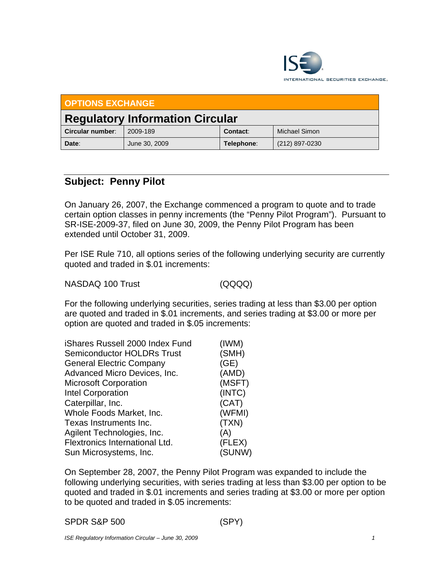

| <b>OPTIONS EXCHANGE</b>                |               |            |                |  |  |
|----------------------------------------|---------------|------------|----------------|--|--|
| <b>Regulatory Information Circular</b> |               |            |                |  |  |
| Circular number:                       | 2009-189      | Contact:   | Michael Simon  |  |  |
| Date:                                  | June 30, 2009 | Telephone: | (212) 897-0230 |  |  |

## **Subject: Penny Pilot**

On January 26, 2007, the Exchange commenced a program to quote and to trade certain option classes in penny increments (the "Penny Pilot Program"). Pursuant to SR-ISE-2009-37, filed on June 30, 2009, the Penny Pilot Program has been extended until October 31, 2009.

Per ISE Rule 710, all options series of the following underlying security are currently quoted and traded in \$.01 increments:

NASDAQ 100 Trust (QQQQ)

For the following underlying securities, series trading at less than \$3.00 per option are quoted and traded in \$.01 increments, and series trading at \$3.00 or more per option are quoted and traded in \$.05 increments:

| iShares Russell 2000 Index Fund   | (IWM)  |
|-----------------------------------|--------|
| <b>Semiconductor HOLDRs Trust</b> | (SMH)  |
| <b>General Electric Company</b>   | (GE)   |
| Advanced Micro Devices, Inc.      | (AMD)  |
| <b>Microsoft Corporation</b>      | (MSFT) |
| Intel Corporation                 | (INTC) |
| Caterpillar, Inc.                 | (CAT)  |
| Whole Foods Market, Inc.          | (WFMI) |
| Texas Instruments Inc.            | (TXN)  |
| Agilent Technologies, Inc.        | (A)    |
| Flextronics International Ltd.    | (FLEX) |
| Sun Microsystems, Inc.            | (SUNW) |

On September 28, 2007, the Penny Pilot Program was expanded to include the following underlying securities, with series trading at less than \$3.00 per option to be quoted and traded in \$.01 increments and series trading at \$3.00 or more per option to be quoted and traded in \$.05 increments: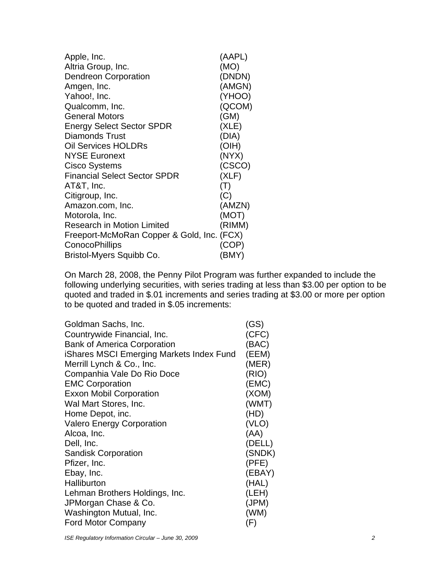| Apple, Inc.                                | (AAPL)         |
|--------------------------------------------|----------------|
| Altria Group, Inc.                         | (MO)           |
| Dendreon Corporation                       | (DNDN)         |
| Amgen, Inc.                                | (AMGN)         |
| Yahoo!, Inc.                               | (YHOO)         |
| Qualcomm, Inc.                             | (QCOM)         |
| <b>General Motors</b>                      | (GM)           |
| <b>Energy Select Sector SPDR</b>           | (XLE)          |
| Diamonds Trust                             | (DIA)          |
| <b>Oil Services HOLDRs</b>                 | (OIH)          |
| <b>NYSE Euronext</b>                       | (NYX)          |
| Cisco Systems                              | (CSCO)         |
| <b>Financial Select Sector SPDR</b>        | (XLF)          |
| AT&T, Inc.                                 | $(\mathsf{T})$ |
| Citigroup, Inc.                            | (C)            |
| Amazon.com, Inc.                           | (AMZN)         |
| Motorola, Inc.                             | (MOT)          |
| <b>Research in Motion Limited</b>          | (RIMM)         |
| Freeport-McMoRan Copper & Gold, Inc. (FCX) |                |
| ConocoPhillips                             | (COP)          |
| Bristol-Myers Squibb Co.                   | (BMY)          |

On March 28, 2008, the Penny Pilot Program was further expanded to include the following underlying securities, with series trading at less than \$3.00 per option to be quoted and traded in \$.01 increments and series trading at \$3.00 or more per option to be quoted and traded in \$.05 increments:

| Goldman Sachs, Inc.                      | (GS)   |
|------------------------------------------|--------|
| Countrywide Financial, Inc.              | (CFC)  |
| <b>Bank of America Corporation</b>       | (BAC)  |
| iShares MSCI Emerging Markets Index Fund | (EEM)  |
| Merrill Lynch & Co., Inc.                | (MER)  |
| Companhia Vale Do Rio Doce               | (RIO)  |
| <b>EMC Corporation</b>                   | (EMC)  |
| <b>Exxon Mobil Corporation</b>           | (XOM)  |
| Wal Mart Stores, Inc.                    | (WMT)  |
| Home Depot, inc.                         | (HD)   |
| <b>Valero Energy Corporation</b>         | (VLO)  |
| Alcoa, Inc.                              | (AA)   |
| Dell, Inc.                               | (DELL) |
| <b>Sandisk Corporation</b>               | (SNDK) |
| Pfizer, Inc.                             | (PFE)  |
| Ebay, Inc.                               | (EBAY) |
| Halliburton                              | (HAL)  |
| Lehman Brothers Holdings, Inc.           | (LEH)  |
| JPMorgan Chase & Co.                     | (JPM)  |
| Washington Mutual, Inc.                  | (WM)   |
| <b>Ford Motor Company</b>                | (F)    |

*ISE Regulatory Information Circular – June 30, 2009* 2